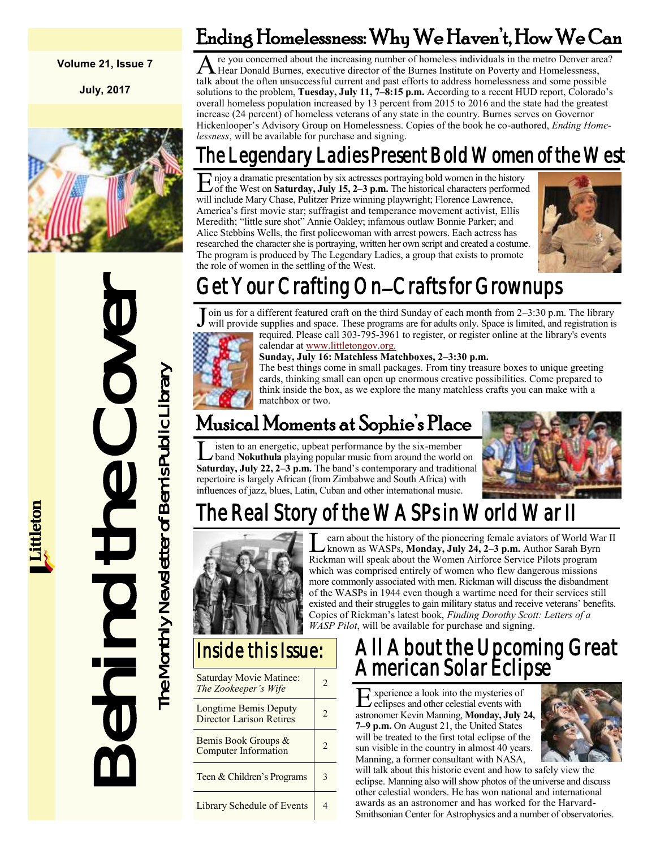#### **Volume 21, Issue 7**

**July, 2017**



# Behind the Cover The Monthly Newsletter of Bemis Public Library The Monthly Newsletter of Bemis Public Library

A re you concerned about the increasing number of homeless individuals in the metro Denver are Hear Donald Burnes, executive director of the Burnes Institute on Poverty and Homelessness, re you concerned about the increasing number of homeless individuals in the metro Denver area? talk about the often unsuccessful current and past efforts to address homelessness and some possible solutions to the problem, **Tuesday, July 11, 7–8:15 p.m.** According to a recent HUD report, Colorado's overall homeless population increased by 13 percent from 2015 to 2016 and the state had the greatest increase (24 percent) of homeless veterans of any state in the country. Burnes serves on Governor Hickenlooper's Advisory Group on Homelessness. Copies of the book he co-authored, *Ending Homelessness*, will be available for purchase and signing.

Ending Homelessness: Why We Haven't, How We Can

# The Legendary Ladies Present Bold Women of the West

E njoy a dramatic presentation by six actresses portraying bold women in the history<br>of the West on Saturday, July 15, 2–3 p.m. The historical characters performe of the West on **Saturday, July 15, 2–3 p.m.** The historical characters performed will include Mary Chase, Pulitzer Prize winning playwright; Florence Lawrence, America's first movie star; suffragist and temperance movement activist, Ellis Meredith; "little sure shot" Annie Oakley; infamous outlaw Bonnie Parker; and Alice Stebbins Wells, the first policewoman with arrest powers. Each actress has researched the character she is portraying, written her own script and created a costume. The program is produced by The Legendary Ladies, a group that exists to promote the role of women in the settling of the West.



# Get Your Crafting On–Crafts for Grownups

J oin us for a different featured craft on the third Sunday of each month from 2–3:30 p.m. The library will provide supplies and space. These programs are for adults only. Space is limited, and registration is



required. Please call 303-795-3961 to register, or register online at the library's events calendar at [www.littletongov.org.](https://www.littletongov.org/city-services/city-departments/bemis-library/library-events-calendar) **Sunday, July 16: Matchless Matchboxes, 2–3:30 p.m.**

The best things come in small packages. From tiny treasure boxes to unique greeting cards, thinking small can open up enormous creative possibilities. Come prepared to think inside the box, as we explore the many matchless crafts you can make with a matchbox or two.

# Musical Moments at Sophie's Place

**L** isten to an energetic, upbeat performance by the six-member<br>band **Nokuthula** playing popular music from around the world on<br>**Saturday, July 22, 2–3 p.m.** The band's contemporary and traditional isten to an energetic, upbeat performance by the six-member band **Nokuthula** playing popular music from around the world on repertoire is largely African (from Zimbabwe and South Africa) with influences of jazz, blues, Latin, Cuban and other international music.



# The Real Story of the WASPs in World War II



Learn about the history of the pioneering female aviators of World Wickman as WASPs, **Monday, July 24, 2–3 p.m.** Author Sarah Byrn Rickman will speak about the Women Airforce Service Pilots program earn about the history of the pioneering female aviators of World War II known as WASPs, **Monday, July 24, 2–3 p.m.** Author Sarah Byrn which was comprised entirely of women who flew dangerous missions more commonly associated with men. Rickman will discuss the disbandment of the WASPs in 1944 even though a wartime need for their services still existed and their struggles to gain military status and receive veterans' benefits. Copies of Rickman's latest book, *Finding Dorothy Scott: Letters of a WASP Pilot*, will be available for purchase and signing.

## Inside this Issue:

| Saturday Movie Matinee:<br>The Zookeeper's Wife          | 2 |
|----------------------------------------------------------|---|
| Longtime Bemis Deputy<br><b>Director Larison Retires</b> | 2 |
| Bemis Book Groups &<br><b>Computer Information</b>       | 2 |
| Teen & Children's Programs                               |   |
| <b>Library Schedule of Events</b>                        |   |

## All About the Upcoming Great American Solar Eclipse

E eclipses and other celestial events with xperience a look into the mysteries of astronomer Kevin Manning, **Monday, July 24, 7–9 p.m.** On August 21, the United States will be treated to the first total eclipse of the sun visible in the country in almost 40 years. Manning, a former consultant with NASA,



will talk about this historic event and how to safely view the eclipse. Manning also will show photos of the universe and discuss other celestial wonders. He has won national and international awards as an astronomer and has worked for the Harvard-Smithsonian Center for Astrophysics and a number of observatories.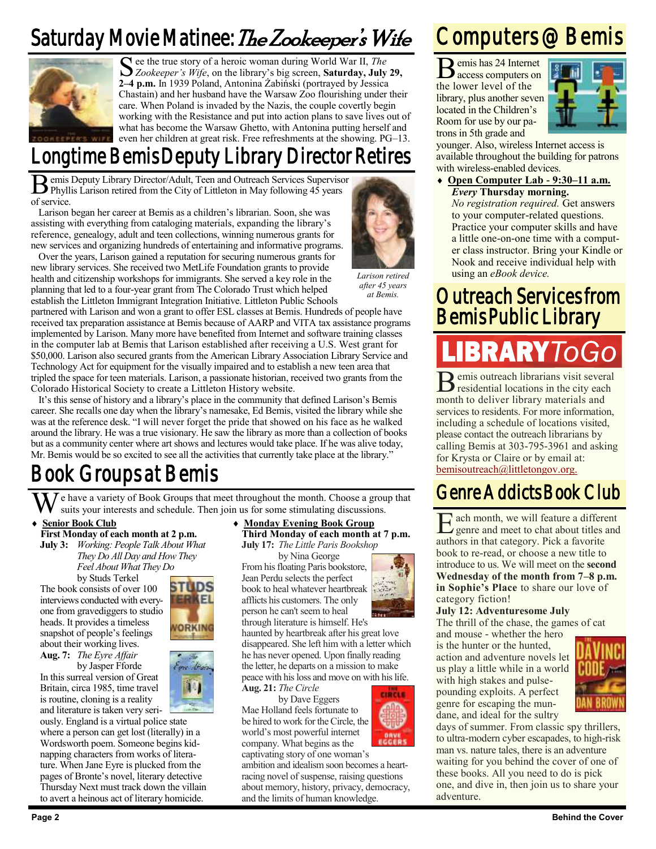# Saturday Movie Matinee: The Zookeeper's Wife



See the true story of a heroic woman during World War II, *The Zookeeper's Wife*, on the library's big screen, **Saturday, July** *Zookeeper's Wife*, on the library's big screen, **Saturday, July 29, 2–4 p.m.** In 1939 Poland, Antonina Żabiński (portrayed by Jessica Chastain) and her husband have the Warsaw Zoo flourishing under their care. When Poland is invaded by the Nazis, the couple covertly begin working with the Resistance and put into action plans to save lives out of what has become the Warsaw Ghetto, with Antonina putting herself and even her children at great risk. Free refreshments at the showing. PG–13.

# Longtime Bemis Deputy Library Director Retires

**B** emis Deputy Library Director/Adult, Teen and Outreach Services Supervisor Phyllis Larison retired from the City of Littleton in May following 45 years Phyllis Larison retired from the City of Littleton in May following 45 years of service.

Larison began her career at Bemis as a children's librarian. Soon, she was assisting with everything from cataloging materials, expanding the library's reference, genealogy, adult and teen collections, winning numerous grants for new services and organizing hundreds of entertaining and informative programs.

Over the years, Larison gained a reputation for securing numerous grants for new library services. She received two MetLife Foundation grants to provide health and citizenship workshops for immigrants. She served a key role in the planning that led to a four-year grant from The Colorado Trust which helped establish the Littleton Immigrant Integration Initiative. Littleton Public Schools

*Larison retired after 45 years at Bemis.*

partnered with Larison and won a grant to offer ESL classes at Bemis. Hundreds of people have received tax preparation assistance at Bemis because of AARP and VITA tax assistance programs implemented by Larison. Many more have benefited from Internet and software training classes in the computer lab at Bemis that Larison established after receiving a U.S. West grant for \$50,000. Larison also secured grants from the American Library Association Library Service and Technology Act for equipment for the visually impaired and to establish a new teen area that tripled the space for teen materials. Larison, a passionate historian, received two grants from the Colorado Historical Society to create a Littleton History website.

It's this sense of history and a library's place in the community that defined Larison's Bemis career. She recalls one day when the library's namesake, Ed Bemis, visited the library while she was at the reference desk. "I will never forget the pride that showed on his face as he walked around the library. He was a true visionary. He saw the library as more than a collection of books but as a community center where art shows and lectures would take place. If he was alive today, Mr. Bemis would be so excited to see all the activities that currently take place at the library."

# Book Groups at Bemis

 $\overline{U}$ e have a variety of Book Groups that meet throughout the month. Choose a group that **Genre Addicts Book Club** suits your interests and schedule. Then join us for some stimulating discussions.

#### **Senior Book Club**

**First Monday of each month at 2 p.m. July 3:** *Working: People Talk About What They Do All Day and How They Feel About What They Do*

by Studs Terkel The book consists of over 100 interviews conducted with everyone from gravediggers to studio heads. It provides a timeless snapshot of people's feelings about their working lives.

**Aug. 7:** *The Eyre Affair* by Jasper Fforde

In this surreal version of Great Britain, circa 1985, time travel is routine, cloning is a reality and literature is taken very seri-

ously. England is a virtual police state where a person can get lost (literally) in a Wordsworth poem. Someone begins kidnapping characters from works of literature. When Jane Eyre is plucked from the pages of Bronte's novel, literary detective Thursday Next must track down the villain to avert a heinous act of literary homicide.

**Monday Evening Book Group**

**Third Monday of each month at 7 p.m. July 17:** *The Little Paris Bookshop*

by Nina George From his floating Paris bookstore, Jean Perdu selects the perfect book to heal whatever heartbreak afflicts his customers. The only person he can't seem to heal

through literature is himself. He's haunted by heartbreak after his great love disappeared. She left him with a letter which he has never opened. Upon finally reading the letter, he departs on a mission to make peace with his loss and move on with his life. **Aug. 21:** *The Circle* **CHRITER** 

by Dave Eggers Mae Holland feels fortunate to be hired to work for the Circle, the world's most powerful internet company. What begins as the captivating story of one woman's

ambition and idealism soon becomes a heartracing novel of suspense, raising questions about memory, history, privacy, democracy, and the limits of human knowledge.

# Computers @ Bemis

Bemis has 24 Internet access computers on the lower level of the library, plus another seven located in the Children's Room for use by our patrons in 5th grade and



younger. Also, wireless Internet access is available throughout the building for patrons with wireless-enabled devices.

 **Open Computer Lab - 9:30–11 a.m.** *Every* **Thursday morning.**

*No registration required.* Get answers to your computer-related questions. Practice your computer skills and have a little one-on-one time with a computer class instructor. Bring your Kindle or Nook and receive individual help with using an *eBook device.*

## Outreach Services from Bemis Public Library

 $\overline{B}$  emis outreach librarians visit several emis outreach librarians visit several month to deliver library materials and services to residents. For more information, including a schedule of locations visited, please contact the outreach librarians by calling Bemis at 303-795-3961 and asking for Krysta or Claire or by email at: [bemisoutreach@littletongov.org.](mailto:bemisoutreach@littletongov.org)

E genre and meet to chat about titles and ach month, we will feature a different authors in that category. Pick a favorite book to re-read, or choose a new title to introduce to us. We will meet on the **second Wednesday of the month from 7–8 p.m. in Sophie's Place** to share our love of category fiction!

#### **July 12: Adventuresome July**

The thrill of the chase, the games of cat and mouse - whether the hero

is the hunter or the hunted, action and adventure novels let us play a little while in a world with high stakes and pulsepounding exploits. A perfect genre for escaping the mundane, and ideal for the sultry



days of summer. From classic spy thrillers, to ultra-modern cyber escapades, to high-risk man vs. nature tales, there is an adventure waiting for you behind the cover of one of these books. All you need to do is pick one, and dive in, then join us to share your adventure.



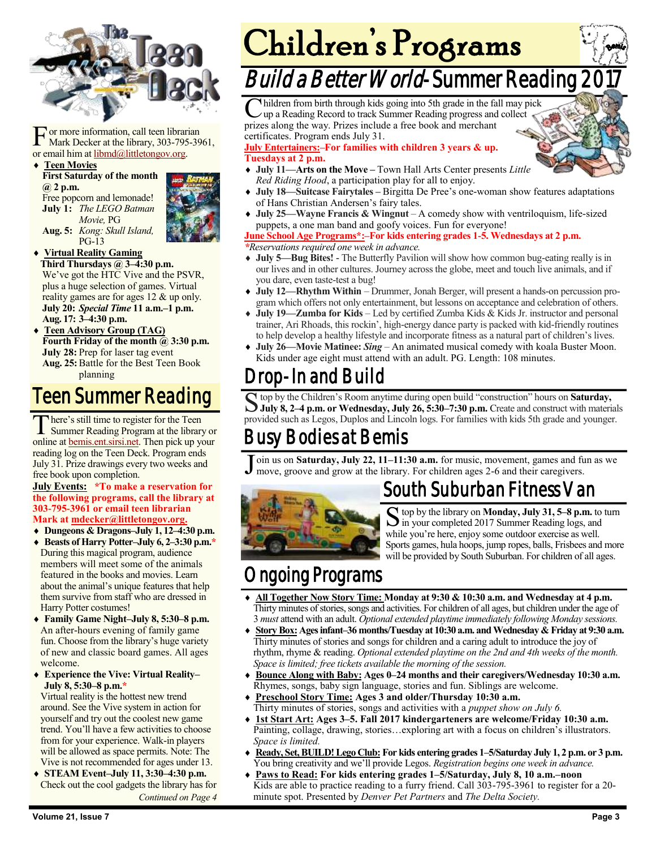

For more information, call teen librar<br>
Mark Decker at the library, 303-795<br>
or email him at <u>libmd@littletongov.org</u>. or more information, call teen librarian Mark Decker at the library, 303-795-3961,

#### **Teen Movies**

**First Saturday of the month @ 2 p.m.** Free popcorn and lemonade! **July 1:** *The LEGO Batman Movie,* PG **Aug. 5:** *Kong: Skull Island,* PG-13



**Virtual Reality Gaming**

**Third Thursdays @ 3–4:30 p.m.** We've got the HTC Vive and the PSVR, plus a huge selection of games. Virtual reality games are for ages 12 & up only. **July 20:** *Special Time* **11 a.m.–1 p.m. Aug. 17: 3–4:30 p.m.**

 **Teen Advisory Group (TAG) Fourth Friday of the month @ 3:30 p.m. July 28:** Prep for laser tag event **Aug. 25:**Battle for the Best Teen Book planning

## Teen Summer Reading

There's still time to register for the Teen<br>Summer Reading Program at the library or here's still time to register for the Teen online at [bemis.ent.sirsi.net.](https://bemis.ent.sirsi.net/client/en_US/default/?) Then pick up your reading log on the Teen Deck. Program ends July 31. Prize drawings every two weeks and free book upon completion.

#### **July Events: \*To make a reservation for the following programs, call the library at 303-795-3961 or email teen librarian Mark at [mdecker@littletongov.org.](mailto:mdecker@littletongov.org)**

- **Dungeons & Dragons–July 1, 12–4:30 p.m.**
- **Beasts of Harry Potter–July 6, 2–3:30 p.m.\*** During this magical program, audience members will meet some of the animals featured in the books and movies. Learn about the animal's unique features that help them survive from staff who are dressed in Harry Potter costumes!
- **Family Game Night–July 8, 5:30–8 p.m.** An after-hours evening of family game fun. Choose from the library's huge variety of new and classic board games. All ages welcome.
- **Experience the Vive: Virtual Reality– July 8, 5:30–8 p.m.\***

Virtual reality is the hottest new trend around. See the Vive system in action for yourself and try out the coolest new game trend. You'll have a few activities to choose from for your experience. Walk-in players will be allowed as space permits. Note: The Vive is not recommended for ages under 13.

 **STEAM Event–July 11, 3:30–4:30 p.m.** Check out the cool gadgets the library has for *Continued on Page 4*

# Children's Programs

# Build a Better World-Summer Reading 2

C hildren from birth through kids going into 5th grade in the fa<br>
cup a Reading Record to track Summer Reading progress and<br>
prizes along the way. Prizes include a free book and merchant hildren from birth through kids going into 5th grade in the fall may pick up a Reading Record to track Summer Reading progress and collect certificates. Program ends July 31.

**July Entertainers:–For families with children 3 years & up. Tuesdays at 2 p.m.**

- **July 11—Arts on the Move –** Town Hall Arts Center presents *Little Red Riding Hood*, a participation play for all to enjoy.
- **July 18—Suitcase Fairytales –** Birgitta De Pree's one-woman show features adaptations of Hans Christian Andersen's fairy tales.
- **July 25—Wayne Francis & Wingnut**  A comedy show with ventriloquism, life-sized puppets, a one man band and goofy voices. Fun for everyone!

#### **June School Age Programs\*:–For kids entering grades 1-5. Wednesdays at 2 p.m.** *\*Reservations required one week in advance.*

- 
- **July 5—Bug Bites! -** The Butterfly Pavilion will show how common bug-eating really is in our lives and in other cultures. Journey across the globe, meet and touch live animals, and if you dare, even taste-test a bug!
- **July 12—Rhythm Within**  Drummer, Jonah Berger, will present a hands-on percussion program which offers not only entertainment, but lessons on acceptance and celebration of others.
- **July 19—Zumba for Kids**  Led by certified Zumba Kids & Kids Jr. instructor and personal trainer, Ari Rhoads, this rockin', high-energy dance party is packed with kid-friendly routines to help develop a healthy lifestyle and incorporate fitness as a natural part of children's lives.
- **July 26—Movie Matinee:** *Sing* An animated musical comedy with koala Buster Moon. Kids under age eight must attend with an adult. PG. Length: 108 minutes.

## Drop-In and Build

Busy Bodies at Bemis S top by the Children's Room anytime during open build "construction" hours on **Saturday,**<br>July 8, 2–4 p.m. or Wednesday, July 26, 5:30–7:30 p.m. Create and construct with materials top by the Children's Room anytime during open build "construction" hours on **Saturday,**  provided such as Legos, Duplos and Lincoln logs. For families with kids 5th grade and younger.

#### J oin us on **Saturday, July 22, 11–11:30 a.m.** for music, movement, games and fun as we move, groove and grow at the library. For children ages 2-6 and their caregivers.



## South Suburban Fitness Van

S top by the library on **Monday, July 31, 5–8 p.m.** to turn<br>Sin your completed 2017 Summer Reading logs, and  $\sum$  in your completed 2017 Summer Reading logs, and while you're here, enjoy some outdoor exercise as well. Sports games, hula hoops, jump ropes, balls, Frisbees and more will be provided by South Suburban. For children of all ages.

## Ongoing Programs

- **All Together Now Story Time: Monday at 9:30 & 10:30 a.m. and Wednesday at 4 p.m.** Thirty minutes of stories, songs and activities. For children of all ages, but children under the age of 3 *must* attend with an adult. *Optional extended playtime immediately following Monday sessions.*
- **Story Box: Ages infant–36 months/Tuesday at 10:30 a.m. and Wednesday & Friday at 9:30 a.m.** Thirty minutes of stories and songs for children and a caring adult to introduce the joy of rhythm, rhyme & reading. *Optional extended playtime on the 2nd and 4th weeks of the month. Space is limited; free tickets available the morning of the session.*
- **Bounce Along with Baby: Ages 0–24 months and their caregivers/Wednesday 10:30 a.m.** Rhymes, songs, baby sign language, stories and fun. Siblings are welcome.
- **Preschool Story Time: Ages 3 and older/Thursday 10:30 a.m.** Thirty minutes of stories, songs and activities with a *puppet show on July 6.*
- **1st Start Art: Ages 3–5. Fall 2017 kindergarteners are welcome/Friday 10:30 a.m.** Painting, collage, drawing, stories…exploring art with a focus on children's illustrators. *Space is limited.*
- **Ready, Set, BUILD! Lego Club: For kids entering grades 1–5/Saturday July 1, 2 p.m. or 3 p.m.** You bring creativity and we'll provide Legos. *Registration begins one week in advance.*
- **Paws to Read: For kids entering grades 1–5/Saturday, July 8, 10 a.m.–noon** Kids are able to practice reading to a furry friend. Call 303-795-3961 to register for a 20 minute spot. Presented by *Denver Pet Partners* and *The Delta Society.*